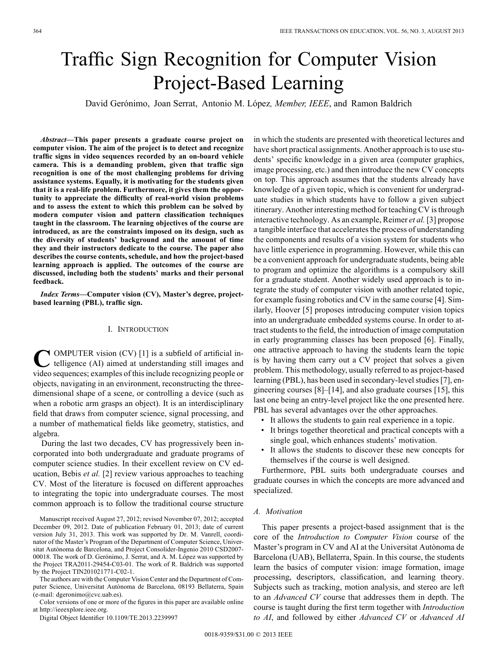# Traffic Sign Recognition for Computer Vision Project-Based Learning

David Gerónimo, Joan Serrat, Antonio M. López*, Member, IEEE*, and Ramon Baldrich

*Abstract—***This paper presents a graduate course project on computer vision. The aim of the project is to detect and recognize traffic signs in video sequences recorded by an on-board vehicle camera. This is a demanding problem, given that traffic sign recognition is one of the most challenging problems for driving assistance systems. Equally, it is motivating for the students given that it is a real-life problem. Furthermore, it gives them the opportunity to appreciate the difficulty of real-world vision problems and to assess the extent to which this problem can be solved by modern computer vision and pattern classification techniques taught in the classroom. The learning objectives of the course are introduced, as are the constraints imposed on its design, such as the diversity of students' background and the amount of time they and their instructors dedicate to the course. The paper also describes the course contents, schedule, and how the project-based learning approach is applied. The outcomes of the course are discussed, including both the students' marks and their personal feedback.**

*Index Terms—***Computer vision (CV), Master's degree, projectbased learning (PBL), traffic sign.**

# I. INTRODUCTION

**COMPUTER** vision (CV) [1] is a subfield of artificial intelligence (AI) aimed at understanding still images and video sequences; examples of this include recognizing people or objects, navigating in an environment, reconstructing the threedimensional shape of a scene, or controlling a device (such as when a robotic arm grasps an object). It is an interdisciplinary field that draws from computer science, signal processing, and a number of mathematical fields like geometry, statistics, and algebra.

During the last two decades, CV has progressively been incorporated into both undergraduate and graduate programs of computer science studies. In their excellent review on CV education, Bebis *et al.* [2] review various approaches to teaching CV. Most of the literature is focused on different approaches to integrating the topic into undergraduate courses. The most common approach is to follow the traditional course structure

The authors are with the Computer Vision Center and the Department of Computer Science, Universitat Autònoma de Barcelona, 08193 Bellaterra, Spain (e-mail: dgeronimo@cvc.uab.es).

Color versions of one or more of the figures in this paper are available online at http://ieeexplore.ieee.org.

Digital Object Identifier 10.1109/TE.2013.2239997

in which the students are presented with theoretical lectures and have short practical assignments. Another approach is to use students' specific knowledge in a given area (computer graphics, image processing, etc.) and then introduce the new CV concepts on top. This approach assumes that the students already have knowledge of a given topic, which is convenient for undergraduate studies in which students have to follow a given subject itinerary. Another interesting method for teaching CV is through interactive technology. As an example, Reimer *et al.* [3] propose a tangible interface that accelerates the process of understanding the components and results of a vision system for students who have little experience in programming. However, while this can be a convenient approach for undergraduate students, being able to program and optimize the algorithms is a compulsory skill for a graduate student. Another widely used approach is to integrate the study of computer vision with another related topic, for example fusing robotics and CV in the same course [4]. Similarly, Hoover [5] proposes introducing computer vision topics into an undergraduate embedded systems course. In order to attract students to the field, the introduction of image computation in early programming classes has been proposed [6]. Finally, one attractive approach to having the students learn the topic is by having them carry out a CV project that solves a given problem. This methodology, usually referred to as project-based learning (PBL), has been used in secondary-level studies [7], engineering courses [8]–[14], and also graduate courses [15], this last one being an entry-level project like the one presented here. PBL has several advantages over the other approaches.

- It allows the students to gain real experience in a topic.
- It brings together theoretical and practical concepts with a single goal, which enhances students' motivation.
- It allows the students to discover these new concepts for themselves if the course is well designed.

Furthermore, PBL suits both undergraduate courses and graduate courses in which the concepts are more advanced and specialized.

## *A. Motivation*

This paper presents a project-based assignment that is the core of the *Introduction to Computer Vision* course of the Master's program in CV and AI at the Universitat Autònoma de Barcelona (UAB), Bellaterra, Spain. In this course, the students learn the basics of computer vision: image formation, image processing, descriptors, classification, and learning theory. Subjects such as tracking, motion analysis, and stereo are left to an *Advanced CV* course that addresses them in depth. The course is taught during the first term together with *Introduction to AI*, and followed by either *Advanced CV* or *Advanced AI*

Manuscript received August 27, 2012; revised November 07, 2012; accepted December 09, 2012. Date of publication February 01, 2013; date of current version July 31, 2013. This work was supported by Dr. M. Vanrell, coordinator of the Master's Program of the Department of Computer Science, Universitat Autònoma de Barcelona, and Project Consolider-Ingenio 2010 CSD2007- 00018. The work of D. Gerónimo, J. Serrat, and A. M. López was supported by the Project TRA2011-29454-C03-01. The work of R. Baldrich was supported by the Project TIN201021771-C02-1.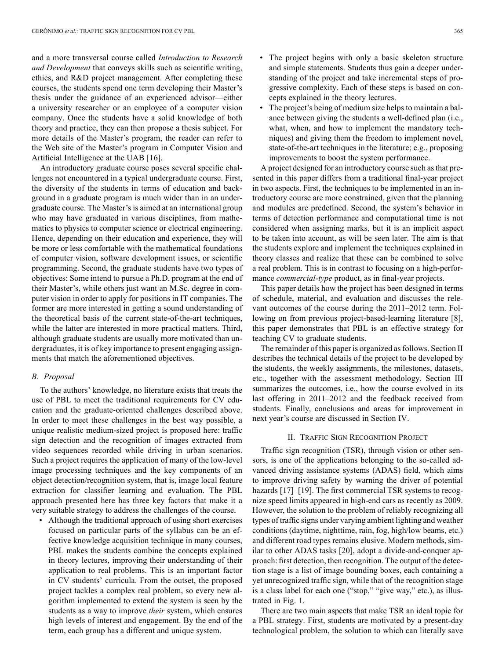and a more transversal course called *Introduction to Research and Development* that conveys skills such as scientific writing, ethics, and R&D project management. After completing these courses, the students spend one term developing their Master's thesis under the guidance of an experienced advisor—either a university researcher or an employee of a computer vision company. Once the students have a solid knowledge of both theory and practice, they can then propose a thesis subject. For more details of the Master's program, the reader can refer to the Web site of the Master's program in Computer Vision and Artificial Intelligence at the UAB [16].

An introductory graduate course poses several specific challenges not encountered in a typical undergraduate course. First, the diversity of the students in terms of education and background in a graduate program is much wider than in an undergraduate course. The Master's is aimed at an international group who may have graduated in various disciplines, from mathematics to physics to computer science or electrical engineering. Hence, depending on their education and experience, they will be more or less comfortable with the mathematical foundations of computer vision, software development issues, or scientific programming. Second, the graduate students have two types of objectives: Some intend to pursue a Ph.D. program at the end of their Master's, while others just want an M.Sc. degree in computer vision in order to apply for positions in IT companies. The former are more interested in getting a sound understanding of the theoretical basis of the current state-of-the-art techniques, while the latter are interested in more practical matters. Third, although graduate students are usually more motivated than undergraduates, it is of key importance to present engaging assignments that match the aforementioned objectives.

# *B. Proposal*

To the authors' knowledge, no literature exists that treats the use of PBL to meet the traditional requirements for CV education and the graduate-oriented challenges described above. In order to meet these challenges in the best way possible, a unique realistic medium-sized project is proposed here: traffic sign detection and the recognition of images extracted from video sequences recorded while driving in urban scenarios. Such a project requires the application of many of the low-level image processing techniques and the key components of an object detection/recognition system, that is, image local feature extraction for classifier learning and evaluation. The PBL approach presented here has three key factors that make it a very suitable strategy to address the challenges of the course.

• Although the traditional approach of using short exercises focused on particular parts of the syllabus can be an effective knowledge acquisition technique in many courses, PBL makes the students combine the concepts explained in theory lectures, improving their understanding of their application to real problems. This is an important factor in CV students' curricula. From the outset, the proposed project tackles a complex real problem, so every new algorithm implemented to extend the system is seen by the students as a way to improve *their* system, which ensures high levels of interest and engagement. By the end of the term, each group has a different and unique system.

- The project begins with only a basic skeleton structure and simple statements. Students thus gain a deeper understanding of the project and take incremental steps of progressive complexity. Each of these steps is based on concepts explained in the theory lectures.
- The project's being of medium size helps to maintain a balance between giving the students a well-defined plan (i.e., what, when, and how to implement the mandatory techniques) and giving them the freedom to implement novel, state-of-the-art techniques in the literature; e.g., proposing improvements to boost the system performance.

A project designed for an introductory course such as that presented in this paper differs from a traditional final-year project in two aspects. First, the techniques to be implemented in an introductory course are more constrained, given that the planning and modules are predefined. Second, the system's behavior in terms of detection performance and computational time is not considered when assigning marks, but it is an implicit aspect to be taken into account, as will be seen later. The aim is that the students explore and implement the techniques explained in theory classes and realize that these can be combined to solve a real problem. This is in contrast to focusing on a high-performance *commercial-type* product, as in final-year projects.

This paper details how the project has been designed in terms of schedule, material, and evaluation and discusses the relevant outcomes of the course during the 2011–2012 term. Following on from previous project-based-learning literature [8], this paper demonstrates that PBL is an effective strategy for teaching CV to graduate students.

The remainder of this paper is organized as follows. Section II describes the technical details of the project to be developed by the students, the weekly assignments, the milestones, datasets, etc., together with the assessment methodology. Section III summarizes the outcomes, i.e., how the course evolved in its last offering in 2011–2012 and the feedback received from students. Finally, conclusions and areas for improvement in next year's course are discussed in Section IV.

## II. TRAFFIC SIGN RECOGNITION PROJECT

Traffic sign recognition (TSR), through vision or other sensors, is one of the applications belonging to the so-called advanced driving assistance systems (ADAS) field, which aims to improve driving safety by warning the driver of potential hazards [17]–[19]. The first commercial TSR systems to recognize speed limits appeared in high-end cars as recently as 2009. However, the solution to the problem of reliably recognizing all types of traffic signs under varying ambient lighting and weather conditions (daytime, nighttime, rain, fog, high/low beams, etc.) and different road types remains elusive. Modern methods, similar to other ADAS tasks [20], adopt a divide-and-conquer approach: first detection, then recognition. The output of the detection stage is a list of image bounding boxes, each containing a yet unrecognized traffic sign, while that of the recognition stage is a class label for each one ("stop," "give way," etc.), as illustrated in Fig. 1.

There are two main aspects that make TSR an ideal topic for a PBL strategy. First, students are motivated by a present-day technological problem, the solution to which can literally save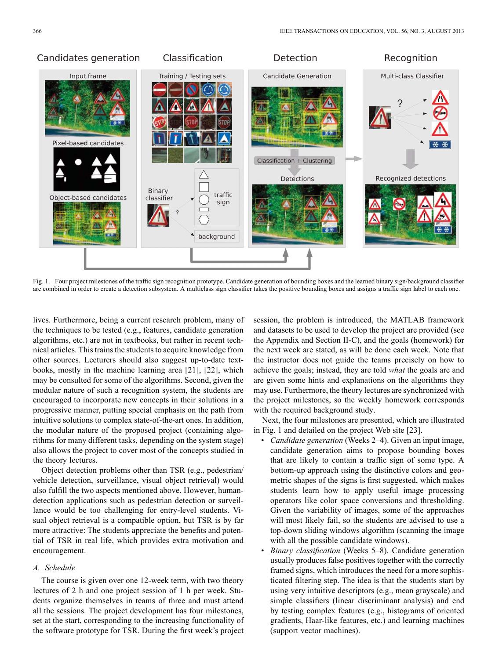

Fig. 1. Four project milestones of the traffic sign recognition prototype. Candidate generation of bounding boxes and the learned binary sign/background classifier are combined in order to create a detection subsystem. A multiclass sign classifier takes the positive bounding boxes and assigns a traffic sign label to each one.

lives. Furthermore, being a current research problem, many of the techniques to be tested (e.g., features, candidate generation algorithms, etc.) are not in textbooks, but rather in recent technical articles. This trains the students to acquire knowledge from other sources. Lecturers should also suggest up-to-date textbooks, mostly in the machine learning area [21], [22], which may be consulted for some of the algorithms. Second, given the modular nature of such a recognition system, the students are encouraged to incorporate new concepts in their solutions in a progressive manner, putting special emphasis on the path from intuitive solutions to complex state-of-the-art ones. In addition, the modular nature of the proposed project (containing algorithms for many different tasks, depending on the system stage) also allows the project to cover most of the concepts studied in the theory lectures.

Object detection problems other than TSR (e.g., pedestrian/ vehicle detection, surveillance, visual object retrieval) would also fulfill the two aspects mentioned above. However, humandetection applications such as pedestrian detection or surveillance would be too challenging for entry-level students. Visual object retrieval is a compatible option, but TSR is by far more attractive: The students appreciate the benefits and potential of TSR in real life, which provides extra motivation and encouragement.

## *A. Schedule*

The course is given over one 12-week term, with two theory lectures of 2 h and one project session of 1 h per week. Students organize themselves in teams of three and must attend all the sessions. The project development has four milestones, set at the start, corresponding to the increasing functionality of the software prototype for TSR. During the first week's project

session, the problem is introduced, the MATLAB framework and datasets to be used to develop the project are provided (see the Appendix and Section II-C), and the goals (homework) for the next week are stated, as will be done each week. Note that the instructor does not guide the teams precisely on how to achieve the goals; instead, they are told *what* the goals are and are given some hints and explanations on the algorithms they may use. Furthermore, the theory lectures are synchronized with the project milestones, so the weekly homework corresponds with the required background study.

Next, the four milestones are presented, which are illustrated in Fig. 1 and detailed on the project Web site [23].

- *Candidate generation* (Weeks 2–4). Given an input image, candidate generation aims to propose bounding boxes that are likely to contain a traffic sign of some type. A bottom-up approach using the distinctive colors and geometric shapes of the signs is first suggested, which makes students learn how to apply useful image processing operators like color space conversions and thresholding. Given the variability of images, some of the approaches will most likely fail, so the students are advised to use a top-down sliding windows algorithm (scanning the image with all the possible candidate windows).
- *Binary classification* (Weeks 5–8). Candidate generation usually produces false positives together with the correctly framed signs, which introduces the need for a more sophisticated filtering step. The idea is that the students start by using very intuitive descriptors (e.g., mean grayscale) and simple classifiers (linear discriminant analysis) and end by testing complex features (e.g., histograms of oriented gradients, Haar-like features, etc.) and learning machines (support vector machines).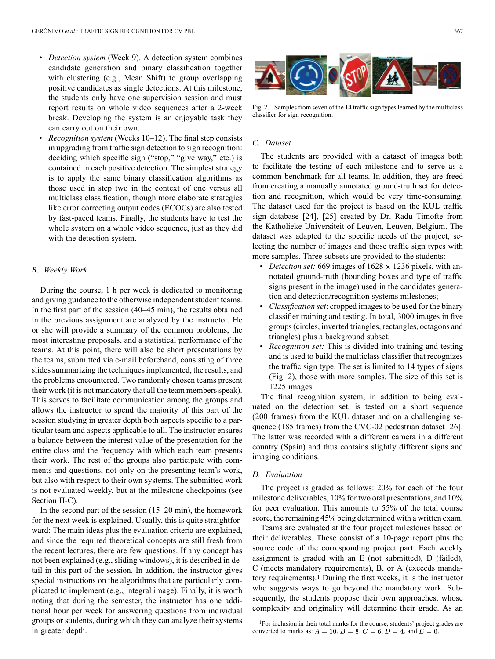- *Detection system* (Week 9). A detection system combines candidate generation and binary classification together with clustering (e.g., Mean Shift) to group overlapping positive candidates as single detections. At this milestone, the students only have one supervision session and must report results on whole video sequences after a 2-week break. Developing the system is an enjoyable task they can carry out on their own.
- *Recognition system* (Weeks 10–12). The final step consists in upgrading from traffic sign detection to sign recognition: deciding which specific sign ("stop," "give way," etc.) is contained in each positive detection. The simplest strategy is to apply the same binary classification algorithms as those used in step two in the context of one versus all multiclass classification, though more elaborate strategies like error correcting output codes (ECOCs) are also tested by fast-paced teams. Finally, the students have to test the whole system on a whole video sequence, just as they did with the detection system.

# *B. Weekly Work*

During the course, 1 h per week is dedicated to monitoring and giving guidance to the otherwise independent student teams. In the first part of the session (40–45 min), the results obtained in the previous assignment are analyzed by the instructor. He or she will provide a summary of the common problems, the most interesting proposals, and a statistical performance of the teams. At this point, there will also be short presentations by the teams, submitted via e-mail beforehand, consisting of three slides summarizing the techniques implemented, the results, and the problems encountered. Two randomly chosen teams present their work (it is not mandatory that all the team members speak). This serves to facilitate communication among the groups and allows the instructor to spend the majority of this part of the session studying in greater depth both aspects specific to a particular team and aspects applicable to all. The instructor ensures a balance between the interest value of the presentation for the entire class and the frequency with which each team presents their work. The rest of the groups also participate with comments and questions, not only on the presenting team's work, but also with respect to their own systems. The submitted work is not evaluated weekly, but at the milestone checkpoints (see Section II-C).

In the second part of the session (15–20 min), the homework for the next week is explained. Usually, this is quite straightforward: The main ideas plus the evaluation criteria are explained, and since the required theoretical concepts are still fresh from the recent lectures, there are few questions. If any concept has not been explained (e.g., sliding windows), it is described in detail in this part of the session. In addition, the instructor gives special instructions on the algorithms that are particularly complicated to implement (e.g., integral image). Finally, it is worth noting that during the semester, the instructor has one additional hour per week for answering questions from individual groups or students, during which they can analyze their systems in greater depth.



Fig. 2. Samples from seven of the 14 traffic sign types learned by the multiclass classifier for sign recognition.

# *C. Dataset*

The students are provided with a dataset of images both to facilitate the testing of each milestone and to serve as a common benchmark for all teams. In addition, they are freed from creating a manually annotated ground-truth set for detection and recognition, which would be very time-consuming. The dataset used for the project is based on the KUL traffic sign database [24], [25] created by Dr. Radu Timofte from the Katholieke Universiteit of Leuven, Leuven, Belgium. The dataset was adapted to the specific needs of the project, selecting the number of images and those traffic sign types with more samples. Three subsets are provided to the students:

- *Detection set:* 669 images of  $1628 \times 1236$  pixels, with annotated ground-truth (bounding boxes and type of traffic signs present in the image) used in the candidates generation and detection/recognition systems milestones;
- *Classification set*: cropped images to be used for the binary classifier training and testing. In total, 3000 images in five groups (circles, inverted triangles, rectangles, octagons and triangles) plus a background subset;
- *Recognition set:* This is divided into training and testing and is used to build the multiclass classifier that recognizes the traffic sign type. The set is limited to 14 types of signs (Fig. 2), those with more samples. The size of this set is 1225 images.

The final recognition system, in addition to being evaluated on the detection set, is tested on a short sequence (200 frames) from the KUL dataset and on a challenging sequence (185 frames) from the CVC-02 pedestrian dataset [26]. The latter was recorded with a different camera in a different country (Spain) and thus contains slightly different signs and imaging conditions.

#### *D. Evaluation*

The project is graded as follows: 20% for each of the four milestone deliverables, 10% for two oral presentations, and 10% for peer evaluation. This amounts to 55% of the total course score, the remaining 45% being determined with a written exam.

Teams are evaluated at the four project milestones based on their deliverables. These consist of a 10-page report plus the source code of the corresponding project part. Each weekly assignment is graded with an E (not submitted), D (failed), C (meets mandatory requirements), B, or A (exceeds mandatory requirements).1 During the first weeks, it is the instructor who suggests ways to go beyond the mandatory work. Subsequently, the students propose their own approaches, whose complexity and originality will determine their grade. As an

<sup>1</sup>For inclusion in their total marks for the course, students' project grades are converted to marks as:  $A = 10$ ,  $B = 8$ ,  $C = 6$ ,  $D = 4$ , and  $E = 0$ .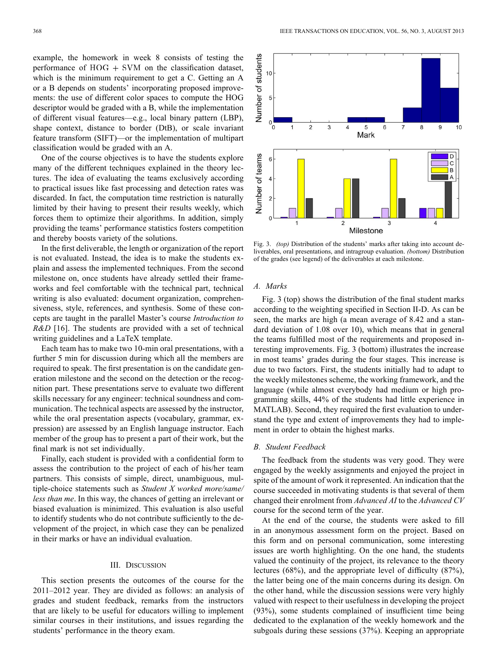example, the homework in week 8 consists of testing the performance of  $HOG + SVM$  on the classification dataset, which is the minimum requirement to get a C. Getting an A or a B depends on students' incorporating proposed improvements: the use of different color spaces to compute the HOG descriptor would be graded with a B, while the implementation of different visual features—e.g., local binary pattern (LBP), shape context, distance to border (DtB), or scale invariant feature transform (SIFT)—or the implementation of multipart classification would be graded with an A.

One of the course objectives is to have the students explore many of the different techniques explained in the theory lectures. The idea of evaluating the teams exclusively according to practical issues like fast processing and detection rates was discarded. In fact, the computation time restriction is naturally limited by their having to present their results weekly, which forces them to optimize their algorithms. In addition, simply providing the teams' performance statistics fosters competition and thereby boosts variety of the solutions.

In the first deliverable, the length or organization of the report is not evaluated. Instead, the idea is to make the students explain and assess the implemented techniques. From the second milestone on, once students have already settled their frameworks and feel comfortable with the technical part, technical writing is also evaluated: document organization, comprehensiveness, style, references, and synthesis. Some of these concepts are taught in the parallel Master's course *Introduction to R&D* [16]. The students are provided with a set of technical writing guidelines and a LaTeX template.

Each team has to make two 10-min oral presentations, with a further 5 min for discussion during which all the members are required to speak. The first presentation is on the candidate generation milestone and the second on the detection or the recognition part. These presentations serve to evaluate two different skills necessary for any engineer: technical soundness and communication. The technical aspects are assessed by the instructor, while the oral presentation aspects (vocabulary, grammar, expression) are assessed by an English language instructor. Each member of the group has to present a part of their work, but the final mark is not set individually.

Finally, each student is provided with a confidential form to assess the contribution to the project of each of his/her team partners. This consists of simple, direct, unambiguous, multiple-choice statements such as *Student X worked more/same/ less than me*. In this way, the chances of getting an irrelevant or biased evaluation is minimized. This evaluation is also useful to identify students who do not contribute sufficiently to the development of the project, in which case they can be penalized in their marks or have an individual evaluation.

### III. DISCUSSION

This section presents the outcomes of the course for the 2011–2012 year. They are divided as follows: an analysis of grades and student feedback, remarks from the instructors that are likely to be useful for educators willing to implement similar courses in their institutions, and issues regarding the students' performance in the theory exam.



Fig. 3. *(top)* Distribution of the students' marks after taking into account deliverables, oral presentations, and intragroup evaluation. *(bottom)* Distribution of the grades (see legend) of the deliverables at each milestone.

## *A. Marks*

Fig. 3 (top) shows the distribution of the final student marks according to the weighting specified in Section II-D. As can be seen, the marks are high (a mean average of 8.42 and a standard deviation of 1.08 over 10), which means that in general the teams fulfilled most of the requirements and proposed interesting improvements. Fig. 3 (bottom) illustrates the increase in most teams' grades during the four stages. This increase is due to two factors. First, the students initially had to adapt to the weekly milestones scheme, the working framework, and the language (while almost everybody had medium or high programming skills, 44% of the students had little experience in MATLAB). Second, they required the first evaluation to understand the type and extent of improvements they had to implement in order to obtain the highest marks.

## *B. Student Feedback*

The feedback from the students was very good. They were engaged by the weekly assignments and enjoyed the project in spite of the amount of work it represented. An indication that the course succeeded in motivating students is that several of them changed their enrolment from *Advanced AI* to the *Advanced CV* course for the second term of the year.

At the end of the course, the students were asked to fill in an anonymous assessment form on the project. Based on this form and on personal communication, some interesting issues are worth highlighting. On the one hand, the students valued the continuity of the project, its relevance to the theory lectures (68%), and the appropriate level of difficulty (87%), the latter being one of the main concerns during its design. On the other hand, while the discussion sessions were very highly valued with respect to their usefulness in developing the project (93%), some students complained of insufficient time being dedicated to the explanation of the weekly homework and the subgoals during these sessions (37%). Keeping an appropriate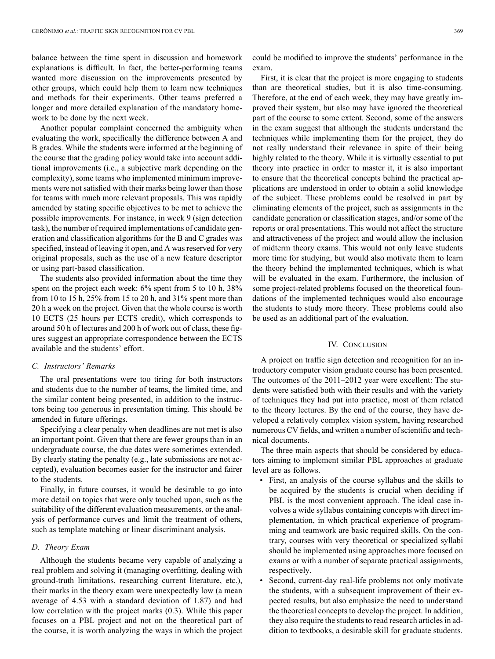balance between the time spent in discussion and homework explanations is difficult. In fact, the better-performing teams wanted more discussion on the improvements presented by other groups, which could help them to learn new techniques and methods for their experiments. Other teams preferred a longer and more detailed explanation of the mandatory homework to be done by the next week.

Another popular complaint concerned the ambiguity when evaluating the work, specifically the difference between A and B grades. While the students were informed at the beginning of the course that the grading policy would take into account additional improvements (i.e., a subjective mark depending on the complexity), some teams who implemented minimum improvements were not satisfied with their marks being lower than those for teams with much more relevant proposals. This was rapidly amended by stating specific objectives to be met to achieve the possible improvements. For instance, in week 9 (sign detection task), the number of required implementations of candidate generation and classification algorithms for the B and C grades was specified, instead of leaving it open, and A was reserved for very original proposals, such as the use of a new feature descriptor or using part-based classification.

The students also provided information about the time they spent on the project each week: 6% spent from 5 to 10 h, 38% from 10 to 15 h, 25% from 15 to 20 h, and 31% spent more than 20 h a week on the project. Given that the whole course is worth 10 ECTS (25 hours per ECTS credit), which corresponds to around 50 h of lectures and 200 h of work out of class, these figures suggest an appropriate correspondence between the ECTS available and the students' effort.

## *C. Instructors' Remarks*

The oral presentations were too tiring for both instructors and students due to the number of teams, the limited time, and the similar content being presented, in addition to the instructors being too generous in presentation timing. This should be amended in future offerings.

Specifying a clear penalty when deadlines are not met is also an important point. Given that there are fewer groups than in an undergraduate course, the due dates were sometimes extended. By clearly stating the penalty (e.g., late submissions are not accepted), evaluation becomes easier for the instructor and fairer to the students.

Finally, in future courses, it would be desirable to go into more detail on topics that were only touched upon, such as the suitability of the different evaluation measurements, or the analysis of performance curves and limit the treatment of others, such as template matching or linear discriminant analysis.

#### *D. Theory Exam*

Although the students became very capable of analyzing a real problem and solving it (managing overfitting, dealing with ground-truth limitations, researching current literature, etc.), their marks in the theory exam were unexpectedly low (a mean average of 4.53 with a standard deviation of 1.87) and had low correlation with the project marks (0.3). While this paper focuses on a PBL project and not on the theoretical part of the course, it is worth analyzing the ways in which the project could be modified to improve the students' performance in the exam.

First, it is clear that the project is more engaging to students than are theoretical studies, but it is also time-consuming. Therefore, at the end of each week, they may have greatly improved their system, but also may have ignored the theoretical part of the course to some extent. Second, some of the answers in the exam suggest that although the students understand the techniques while implementing them for the project, they do not really understand their relevance in spite of their being highly related to the theory. While it is virtually essential to put theory into practice in order to master it, it is also important to ensure that the theoretical concepts behind the practical applications are understood in order to obtain a solid knowledge of the subject. These problems could be resolved in part by eliminating elements of the project, such as assignments in the candidate generation or classification stages, and/or some of the reports or oral presentations. This would not affect the structure and attractiveness of the project and would allow the inclusion of midterm theory exams. This would not only leave students more time for studying, but would also motivate them to learn the theory behind the implemented techniques, which is what will be evaluated in the exam. Furthermore, the inclusion of some project-related problems focused on the theoretical foundations of the implemented techniques would also encourage the students to study more theory. These problems could also be used as an additional part of the evaluation.

#### IV. CONCLUSION

A project on traffic sign detection and recognition for an introductory computer vision graduate course has been presented. The outcomes of the 2011–2012 year were excellent: The students were satisfied both with their results and with the variety of techniques they had put into practice, most of them related to the theory lectures. By the end of the course, they have developed a relatively complex vision system, having researched numerous CV fields, and written a number of scientific and technical documents.

The three main aspects that should be considered by educators aiming to implement similar PBL approaches at graduate level are as follows.

- First, an analysis of the course syllabus and the skills to be acquired by the students is crucial when deciding if PBL is the most convenient approach. The ideal case involves a wide syllabus containing concepts with direct implementation, in which practical experience of programming and teamwork are basic required skills. On the contrary, courses with very theoretical or specialized syllabi should be implemented using approaches more focused on exams or with a number of separate practical assignments, respectively.
- Second, current-day real-life problems not only motivate the students, with a subsequent improvement of their expected results, but also emphasize the need to understand the theoretical concepts to develop the project. In addition, they also require the students to read research articles in addition to textbooks, a desirable skill for graduate students.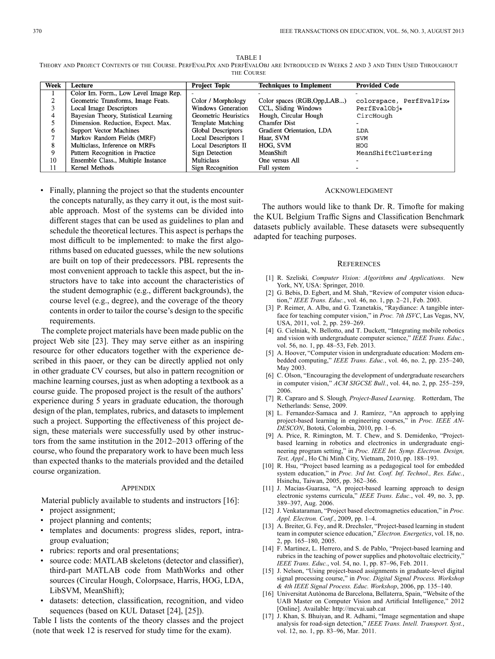TABLE I THEORY AND PROJECT CONTENTS OF THE COURSE. PERFEVALPIX AND PERFEVALOBJ ARE INTRODUCED IN WEEKS 2 AND 3 AND THEN USED THROUGHOUT THE COURSE

| Week | Lecture                               | <b>Project Topic</b>      | <b>Techniques to Implement</b> | <b>Provided Code</b>     |
|------|---------------------------------------|---------------------------|--------------------------------|--------------------------|
|      | Color Im. Form., Low Level Image Rep. |                           |                                |                          |
|      | Geometric Transforms, Image Feats.    | Color / Morphology        | Color spaces (RGB, Opp, LAB)   | colorspace, PerfEvalPix* |
|      | <b>Local Image Descriptors</b>        | <b>Windows Generation</b> | CCL, Sliding Windows           | PerfEvalObj*             |
|      | Bayesian Theory, Statistical Learning | Geometric Heuristics      | Hough, Circular Hough          | CircHough                |
|      | Dimension. Reduction, Expect. Max.    | <b>Template Matching</b>  | <b>Chamfer Dist</b>            |                          |
|      | <b>Support Vector Machines</b>        | Global Descriptors        | Gradient Orientation, LDA      | LDA                      |
|      | Markov Random Fields (MRF)            | Local Descriptors I       | Haar, SVM                      | <b>SVM</b>               |
|      | Multiclass, Inference on MRFs         | Local Descriptors II      | HOG. SVM                       | HOG                      |
|      | Pattern Recognition in Practice       | Sign Detection            | MeanShift                      | MeanShiftClustering      |
| 10   | Ensemble Class., Multiple Instance    | <b>Multiclass</b>         | One versus All                 |                          |
| 11   | Kernel Methods                        | Sign Recognition          | Full system                    |                          |

• Finally, planning the project so that the students encounter the concepts naturally, as they carry it out, is the most suitable approach. Most of the systems can be divided into different stages that can be used as guidelines to plan and schedule the theoretical lectures. This aspect is perhaps the most difficult to be implemented: to make the first algorithms based on educated guesses, while the new solutions are built on top of their predecessors. PBL represents the most convenient approach to tackle this aspect, but the instructors have to take into account the characteristics of the student demographic (e.g., different backgrounds), the course level (e.g., degree), and the coverage of the theory contents in order to tailor the course's design to the specific requirements.

The complete project materials have been made public on the project Web site [23]. They may serve either as an inspiring resource for other educators together with the experience described in this paoer, or they can be directly applied not only in other graduate CV courses, but also in pattern recognition or machine learning courses, just as when adopting a textbook as a course guide. The proposed project is the result of the authors' experience during 5 years in graduate education, the thorough design of the plan, templates, rubrics, and datasets to implement such a project. Supporting the effectiveness of this project design, these materials were successfully used by other instructors from the same institution in the 2012–2013 offering of the course, who found the preparatory work to have been much less than expected thanks to the materials provided and the detailed course organization.

#### **APPENDIX**

Material publicly available to students and instructors [16]:

- project assignment;
- project planning and contents;
- templates and documents: progress slides, report, intragroup evaluation;
- rubrics: reports and oral presentations;
- source code: MATLAB skeletons (detector and classifier), third-part MATLAB code from MathWorks and other sources (Circular Hough, Colorpsace, Harris, HOG, LDA, LibSVM, MeanShift);
- datasets: detection, classification, recognition, and video sequences (based on KUL Dataset [24], [25]).

Table I lists the contents of the theory classes and the project (note that week 12 is reserved for study time for the exam).

## ACKNOWLEDGMENT

The authors would like to thank Dr. R. Timofte for making the KUL Belgium Traffic Signs and Classification Benchmark datasets publicly available. These datasets were subsequently adapted for teaching purposes.

#### **REFERENCES**

- [1] R. Szeliski*, Computer Vision: Algorithms and Applications*. New York, NY, USA: Springer, 2010.
- [2] G. Bebis, D. Egbert, and M. Shah, "Review of computer vision education," *IEEE Trans. Educ.*, vol. 46, no. 1, pp. 2–21, Feb. 2003.
- [3] P. Reimer, A. Albu, and G. Tzanetakis, "Raydiance: A tangible interface for teaching computer vision," in *Proc. 7th ISVC*, Las Vegas, NV, USA, 2011, vol. 2, pp. 259–269.
- [4] G. Cielniak, N. Bellotto, and T. Duckett, "Integrating mobile robotics and vision with undergraduate computer science," *IEEE Trans. Educ.*, vol. 56, no. 1, pp. 48–53, Feb. 2013.
- [5] A. Hoover, "Computer vision in undergraduate education: Modern embedded computing," *IEEE Trans. Educ.*, vol. 46, no. 2, pp. 235–240, May 2003.
- [6] C. Olson, "Encouraging the development of undergraduate researchers in computer vision," *ACM SIGCSE Bull.*, vol. 44, no. 2, pp. 255–259, 2006.
- [7] R. Capraro and S. Slough*, Project-Based Learning*. Rotterdam, The Netherlands: Sense, 2009.
- [8] L. Fernandez-Samaca and J. Ramírez, "An approach to applying project-based learning in engineering courses," in *Proc. IEEE AN-DESCON*, Bototá, Colombia, 2010, pp. 1–6.
- [9] A. Price, R. Rimington, M. T. Chew, and S. Demidenko, "Projectbased learning in robotics and electronics in undergraduate engineering program setting," in *Proc. IEEE Int. Symp. Electron. Design, Test, Appl.*, Ho Chi Minh City, Vietnam, 2010, pp. 188–193.
- [10] R. Hsu, "Project based learning as a pedagogical tool for embedded system education," in *Proc. 3rd Int. Conf. Inf. Technol., Res. Educ.*, Hsinchu, Taiwan, 2005, pp. 362–366.
- [11] J. Macias-Guarasa, "A project-based learning approach to design electronic systems curricula," *IEEE Trans. Educ.*, vol. 49, no. 3, pp. 389–397, Aug. 2006.
- [12] J. Venkataraman, "Project based electromagnetics education," in *Proc. Appl. Electron. Conf.*, 2009, pp. 1–4.
- [13] A. Breiter, G. Fey, and R. Drechsler, "Project-based learning in student team in computer science education," *Electron. Energetics*, vol. 18, no. 2, pp. 165–180, 2005.
- [14] F. Martinez, L. Herrero, and S. de Pablo, "Project-based learning and rubrics in the teaching of power supplies and photovoltaic electricity," *IEEE Trans. Educ.*, vol. 54, no. 1, pp. 87–96, Feb. 2011.
- [15] J. Nelson, "Using project-based assignments in graduate-level digital signal processing course," in *Proc. Digital Signal Process. Workshop & 4th IEEE Signal Process. Educ. Workshop*, 2006, pp. 135–140.
- [16] Universitat Autònoma de Barcelona, Bellaterra, Spain, "Website of the UAB Master on Computer Vision and Artificial Intelligence," 2012 [Online]. Available: http://mcvai.uab.cat
- [17] J. Khan, S. Bhuiyan, and R. Adhami, "Image segmentation and shape analysis for road-sign detection," *IEEE Trans. Intell. Transport. Syst.*, vol. 12, no. 1, pp. 83–96, Mar. 2011.